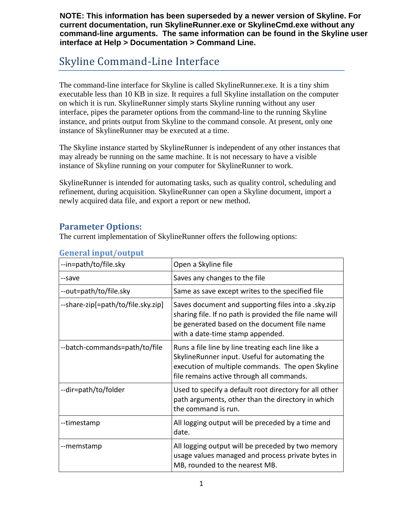**NOTE: This information has been superseded by a newer version of Skyline. For current documentation, run SkylineRunner.exe or SkylineCmd.exe without any command-line arguments. The same information can be found in the Skyline user interface at Help > Documentation > Command Line.**

# Skyline Command-Line Interface

The command-line interface for Skyline is called SkylineRunner.exe. It is a tiny shim executable less than 10 KB in size. It requires a full Skyline installation on the computer on which it is run. SkylineRunner simply starts Skyline running without any user interface, pipes the parameter options from the command-line to the running Skyline instance, and prints output from Skyline to the command console. At present, only one instance of SkylineRunner may be executed at a time.

The Skyline instance started by SkylineRunner is independent of any other instances that may already be running on the same machine. It is not necessary to have a visible instance of Skyline running on your computer for SkylineRunner to work.

SkylineRunner is intended for automating tasks, such as quality control, scheduling and refinement, during acquisition. SkylineRunner can open a Skyline document, import a newly acquired data file, and export a report or new method.

#### **Parameter Options:**

The current implementation of SkylineRunner offers the following options:

| --in=path/to/file.sky              | Open a Skyline file                                                                                                                                                                                   |
|------------------------------------|-------------------------------------------------------------------------------------------------------------------------------------------------------------------------------------------------------|
| --save                             | Saves any changes to the file                                                                                                                                                                         |
| --out=path/to/file.sky             | Same as save except writes to the specified file                                                                                                                                                      |
| --share-zip[=path/to/file.sky.zip] | Saves document and supporting files into a .sky.zip<br>sharing file. If no path is provided the file name will<br>be generated based on the document file name<br>with a date-time stamp appended.    |
| --batch-commands=path/to/file      | Runs a file line by line treating each line like a<br>SkylineRunner input. Useful for automating the<br>execution of multiple commands. The open Skyline<br>file remains active through all commands. |
| --dir=path/to/folder               | Used to specify a default root directory for all other<br>path arguments, other than the directory in which<br>the command is run.                                                                    |
| --timestamp                        | All logging output will be preceded by a time and<br>date.                                                                                                                                            |
| --memstamp                         | All logging output will be preceded by two memory<br>usage values managed and process private bytes in<br>MB, rounded to the nearest MB.                                                              |

#### **General input/output**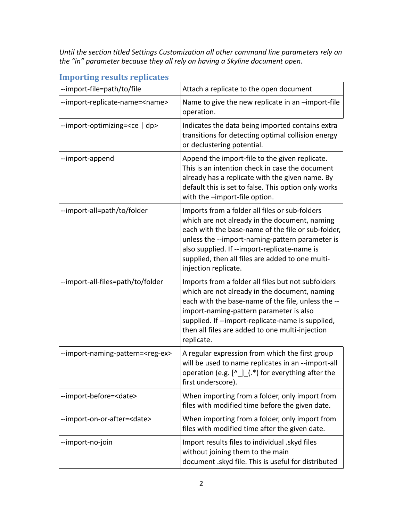*Until the section titled Settings Customization all other command line parameters rely on the "in" parameter because they all rely on having a Skyline document open.*

| --import-file=path/to/file                 | Attach a replicate to the open document                                                                                                                                                                                                                                                                                              |
|--------------------------------------------|--------------------------------------------------------------------------------------------------------------------------------------------------------------------------------------------------------------------------------------------------------------------------------------------------------------------------------------|
| --import-replicate-name= <name></name>     | Name to give the new replicate in an -import-file<br>operation.                                                                                                                                                                                                                                                                      |
| --import-optimizing= <ce dp=""  =""></ce>  | Indicates the data being imported contains extra<br>transitions for detecting optimal collision energy<br>or declustering potential.                                                                                                                                                                                                 |
| --import-append                            | Append the import-file to the given replicate.<br>This is an intention check in case the document<br>already has a replicate with the given name. By<br>default this is set to false. This option only works<br>with the -import-file option.                                                                                        |
| --import-all=path/to/folder                | Imports from a folder all files or sub-folders<br>which are not already in the document, naming<br>each with the base-name of the file or sub-folder,<br>unless the --import-naming-pattern parameter is<br>also supplied. If --import-replicate-name is<br>supplied, then all files are added to one multi-<br>injection replicate. |
| --import-all-files=path/to/folder          | Imports from a folder all files but not subfolders<br>which are not already in the document, naming<br>each with the base-name of the file, unless the --<br>import-naming-pattern parameter is also<br>supplied. If --import-replicate-name is supplied,<br>then all files are added to one multi-injection<br>replicate.           |
| --import-naming-pattern= <reg-ex></reg-ex> | A regular expression from which the first group<br>will be used to name replicates in an --import-all<br>operation (e.g. $[\wedge$ $]$ (.*) for everything after the<br>first underscore).                                                                                                                                           |
| --import-before= <date></date>             | When importing from a folder, only import from<br>files with modified time before the given date.                                                                                                                                                                                                                                    |
| --import-on-or-after= <date></date>        | When importing from a folder, only import from<br>files with modified time after the given date.                                                                                                                                                                                                                                     |
| --import-no-join                           | Import results files to individual .skyd files<br>without joining them to the main<br>document .skyd file. This is useful for distributed                                                                                                                                                                                            |

### **Importing results replicates**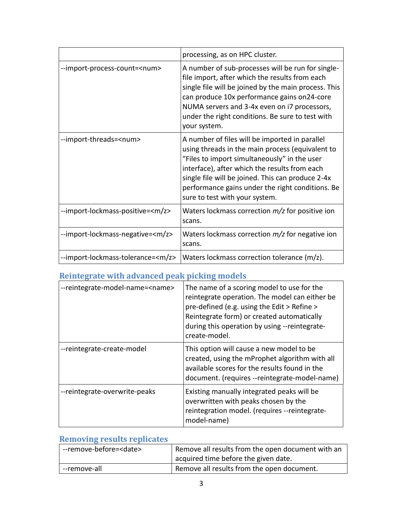|                                           | processing, as on HPC cluster.                                                                                                                                                                                                                                                                                                                 |
|-------------------------------------------|------------------------------------------------------------------------------------------------------------------------------------------------------------------------------------------------------------------------------------------------------------------------------------------------------------------------------------------------|
| --import-process-count= <num></num>       | A number of sub-processes will be run for single-<br>file import, after which the results from each<br>single file will be joined by the main process. This<br>can produce 10x performance gains on24-core<br>NUMA servers and 3-4x even on i7 processors,<br>under the right conditions. Be sure to test with<br>your system.                 |
| --import-threads= <num></num>             | A number of files will be imported in parallel<br>using threads in the main process (equivalent to<br>"Files to import simultaneously" in the user<br>interface), after which the results from each<br>single file will be joined. This can produce 2-4x<br>performance gains under the right conditions. Be<br>sure to test with your system. |
| --import-lockmass-positive= <m z=""></m>  | Waters lockmass correction $m/z$ for positive ion<br>scans.                                                                                                                                                                                                                                                                                    |
| --import-lockmass-negative= <m z=""></m>  | Waters lockmass correction $m/z$ for negative ion<br>scans.                                                                                                                                                                                                                                                                                    |
| --import-lockmass-tolerance= <m z=""></m> | Waters lockmass correction tolerance (m/z).                                                                                                                                                                                                                                                                                                    |

## **Reintegrate with advanced peak picking models**

| --reintegrate-model-name= <name></name> | The name of a scoring model to use for the<br>reintegrate operation. The model can either be<br>pre-defined (e.g. using the Edit > Refine ><br>Reintegrate form) or created automatically<br>during this operation by using --reintegrate-<br>create-model. |
|-----------------------------------------|-------------------------------------------------------------------------------------------------------------------------------------------------------------------------------------------------------------------------------------------------------------|
| --reintegrate-create-model              | This option will cause a new model to be<br>created, using the mProphet algorithm with all<br>available scores for the results found in the<br>document. (requires --reintegrate-model-name)                                                                |
| --reintegrate-overwrite-peaks           | Existing manually integrated peaks will be<br>overwritten with peaks chosen by the<br>reintegration model. (requires --reintegrate-<br>model-name)                                                                                                          |

### **Removing results replicates**

| --remove-before= <date></date> | Remove all results from the open document with an |
|--------------------------------|---------------------------------------------------|
|                                | acquired time before the given date.              |
| --remove-all                   | Remove all results from the open document.        |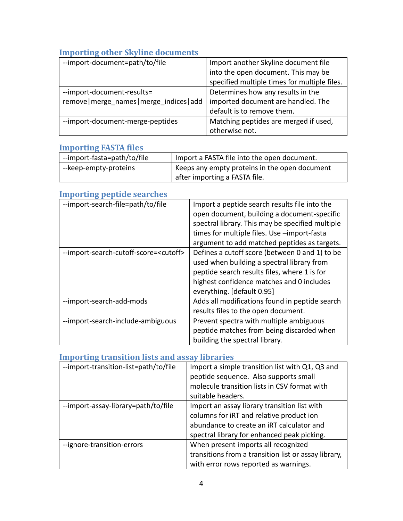### **Importing other Skyline documents**

| --import-document=path/to/file             | Import another Skyline document file         |
|--------------------------------------------|----------------------------------------------|
|                                            | into the open document. This may be          |
|                                            | specified multiple times for multiple files. |
| --import-document-results=                 | Determines how any results in the            |
| remove   merge names   merge indices   add | imported document are handled. The           |
|                                            | default is to remove them.                   |
| --import-document-merge-peptides           | Matching peptides are merged if used,        |
|                                            | otherwise not.                               |

#### **Importing FASTA files**

| --import-fasta=path/to/file | I Import a FASTA file into the open document. |
|-----------------------------|-----------------------------------------------|
| --keep-empty-proteins       | Keeps any empty proteins in the open document |
|                             | after importing a FASTA file.                 |

#### **Importing peptide searches**

| --import-search-file=path/to/file               | Import a peptide search results file into the<br>open document, building a document-specific<br>spectral library. This may be specified multiple<br>times for multiple files. Use -import-fasta<br>argument to add matched peptides as targets. |
|-------------------------------------------------|-------------------------------------------------------------------------------------------------------------------------------------------------------------------------------------------------------------------------------------------------|
| --import-search-cutoff-score= <cutoff></cutoff> | Defines a cutoff score (between 0 and 1) to be<br>used when building a spectral library from<br>peptide search results files, where 1 is for<br>highest confidence matches and 0 includes<br>everything. [default 0.95]                         |
| --import-search-add-mods                        | Adds all modifications found in peptide search<br>results files to the open document.                                                                                                                                                           |
| --import-search-include-ambiguous               | Prevent spectra with multiple ambiguous<br>peptide matches from being discarded when<br>building the spectral library.                                                                                                                          |

### **Importing transition lists and assay libraries**

| --import-transition-list=path/to/file | Import a simple transition list with Q1, Q3 and      |
|---------------------------------------|------------------------------------------------------|
|                                       | peptide sequence. Also supports small                |
|                                       | molecule transition lists in CSV format with         |
|                                       | suitable headers.                                    |
| --import-assay-library=path/to/file   | Import an assay library transition list with         |
|                                       | columns for iRT and relative product ion             |
|                                       | abundance to create an IRT calculator and            |
|                                       | spectral library for enhanced peak picking.          |
| --ignore-transition-errors            | When present imports all recognized                  |
|                                       | transitions from a transition list or assay library, |
|                                       | with error rows reported as warnings.                |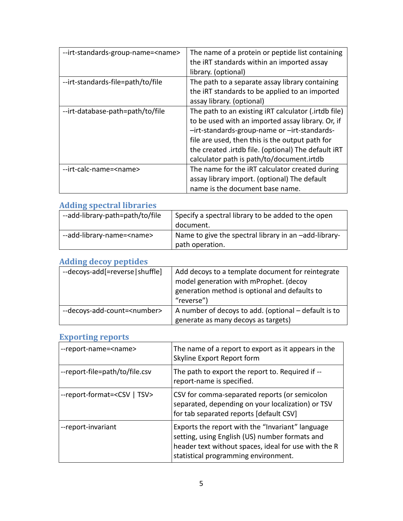| --irt-standards-group-name= <name></name> | The name of a protein or peptide list containing<br>the IRT standards within an imported assay<br>library. (optional)                                                                                                                                                                                            |
|-------------------------------------------|------------------------------------------------------------------------------------------------------------------------------------------------------------------------------------------------------------------------------------------------------------------------------------------------------------------|
| --irt-standards-file=path/to/file         | The path to a separate assay library containing<br>the IRT standards to be applied to an imported<br>assay library. (optional)                                                                                                                                                                                   |
| --irt-database-path=path/to/file          | The path to an existing IRT calculator (.irtdb file)<br>to be used with an imported assay library. Or, if<br>-irt-standards-group-name or -irt-standards-<br>file are used, then this is the output path for<br>the created .irtdb file. (optional) The default IRT<br>calculator path is path/to/document.irtdb |
| --irt-calc-name= <name></name>            | The name for the IRT calculator created during<br>assay library import. (optional) The default<br>name is the document base name.                                                                                                                                                                                |

## **Adding spectral libraries**

| --add-library-path=path/to/file   | Specify a spectral library to be added to the open                       |
|-----------------------------------|--------------------------------------------------------------------------|
|                                   | document.                                                                |
| --add-library-name= <name></name> | Name to give the spectral library in an -add-library-<br>path operation. |

## **Adding decoy peptides**

| --decoys-add[=reverse shuffle]        | Add decoys to a template document for reintegrate    |
|---------------------------------------|------------------------------------------------------|
|                                       | model generation with mProphet. (decoy               |
|                                       | generation method is optional and defaults to        |
|                                       | "reverse")                                           |
| --decoys-add-count= <number></number> | A number of decoys to add. (optional - default is to |
|                                       | generate as many decoys as targets)                  |

#### **Exporting reports**

| --report-name= <name></name>             | The name of a report to export as it appears in the<br>Skyline Export Report form                                                                                                                  |
|------------------------------------------|----------------------------------------------------------------------------------------------------------------------------------------------------------------------------------------------------|
| --report-file=path/to/file.csv           | The path to export the report to. Required if --<br>report-name is specified.                                                                                                                      |
| --report-format= <csv tsv=""  =""></csv> | CSV for comma-separated reports (or semicolon<br>separated, depending on your localization) or TSV<br>for tab separated reports [default CSV]                                                      |
| --report-invariant                       | Exports the report with the "Invariant" language<br>setting, using English (US) number formats and<br>header text without spaces, ideal for use with the R<br>statistical programming environment. |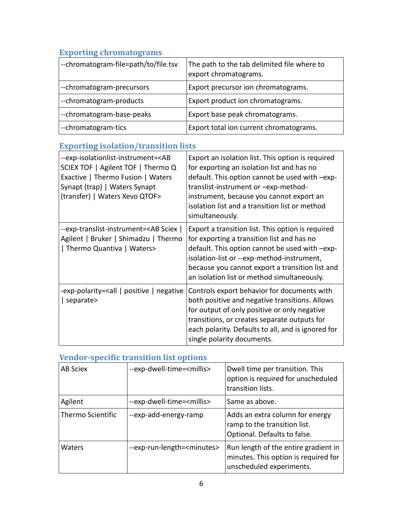## **Exporting chromatograms**

| --chromatogram-file=path/to/file.tsv                                                                                                                                                            | The path to the tab delimited file where to<br>export chromatograms.                                                                                                                                                                                                                                       |
|-------------------------------------------------------------------------------------------------------------------------------------------------------------------------------------------------|------------------------------------------------------------------------------------------------------------------------------------------------------------------------------------------------------------------------------------------------------------------------------------------------------------|
| --chromatogram-precursors                                                                                                                                                                       | Export precursor ion chromatograms.                                                                                                                                                                                                                                                                        |
| --chromatogram-products                                                                                                                                                                         | Export product ion chromatograms.                                                                                                                                                                                                                                                                          |
| --chromatogram-base-peaks                                                                                                                                                                       | Export base peak chromatograms.                                                                                                                                                                                                                                                                            |
| --chromatogram-tics                                                                                                                                                                             | Export total ion current chromatograms.                                                                                                                                                                                                                                                                    |
| <b>Exporting isolation/transition lists</b>                                                                                                                                                     |                                                                                                                                                                                                                                                                                                            |
| --exp-isolationlist-instrument= <ab<br>SCIEX TOF   Agilent TOF   Thermo Q<br/>Exactive   Thermo Fusion   Waters<br/>Synapt (trap)   Waters Synapt<br/>(transfer)   Waters Xevo QTOF&gt;</ab<br> | Export an isolation list. This option is required<br>for exporting an isolation list and has no<br>default. This option cannot be used with -exp-<br>translist-instrument or -exp-method-<br>instrument, because you cannot export an<br>isolation list and a transition list or method<br>simultaneously. |
| --exp-translist-instrument= <ab sciex=""  <br="">Agilent   Bruker   Shimadzu   Thermo<br/>  Thermo Quantiva   Waters&gt;</ab>                                                                   | Export a transition list. This option is required<br>for exporting a transition list and has no<br>default. This option cannot be used with -exp-<br>isolation-list or --exp-method-instrument,<br>because you cannot export a transition list and<br>an isolation list or method simultaneously.          |
| -exp-polarity= <all negative<br="" positive=""  ="">separate&gt;</all>                                                                                                                          | Controls export behavior for documents with<br>both positive and negative transitions. Allows<br>for output of only positive or only negative<br>transitions, or creates separate outputs for<br>each polarity. Defaults to all, and is ignored for<br>single polarity documents.                          |

## **Vendor-specific transition list options**

| AB Sciex          | --exp-dwell-time= <millis></millis>   | Dwell time per transition. This<br>option is required for unscheduled<br>transition lists.               |
|-------------------|---------------------------------------|----------------------------------------------------------------------------------------------------------|
| Agilent           | --exp-dwell-time= <millis></millis>   | Same as above.                                                                                           |
| Thermo Scientific | --exp-add-energy-ramp                 | Adds an extra column for energy<br>ramp to the transition list.<br>Optional. Defaults to false.          |
| <b>Waters</b>     | --exp-run-length= <minutes></minutes> | Run length of the entire gradient in<br>minutes. This option is required for<br>unscheduled experiments. |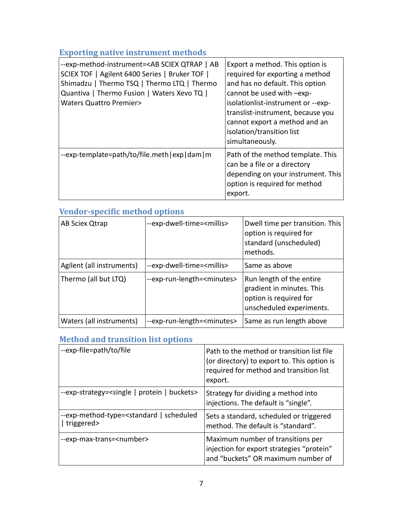## **Exporting native instrument methods**

| --exp-method-instrument= <ab ab<br="" qtrap="" sciex=""  ="">SCIEX TOF   Agilent 6400 Series   Bruker TOF  <br/>Shimadzu   Thermo TSQ   Thermo LTQ   Thermo<br/>Quantiva   Thermo Fusion   Waters Xevo TQ  <br/><b>Waters Quattro Premier&gt;</b></ab> | Export a method. This option is<br>required for exporting a method<br>and has no default. This option<br>cannot be used with -exp-<br>isolationlist-instrument or --exp-<br>translist-instrument, because you<br>cannot export a method and an<br>isolation/transition list<br>simultaneously. |
|--------------------------------------------------------------------------------------------------------------------------------------------------------------------------------------------------------------------------------------------------------|------------------------------------------------------------------------------------------------------------------------------------------------------------------------------------------------------------------------------------------------------------------------------------------------|
| --exp-template=path/to/file.meth exp dam m                                                                                                                                                                                                             | Path of the method template. This<br>can be a file or a directory<br>depending on your instrument. This<br>option is required for method<br>export.                                                                                                                                            |

| <b>VENGOL-SPECIFIC METHOD OPTIONS</b> |                                       |                                                                                                             |
|---------------------------------------|---------------------------------------|-------------------------------------------------------------------------------------------------------------|
| AB Sciex Qtrap                        | --exp-dwell-time= <millis></millis>   | Dwell time per transition. This<br>option is required for<br>standard (unscheduled)<br>methods.             |
| Agilent (all instruments)             | --exp-dwell-time= <millis></millis>   | Same as above                                                                                               |
| Thermo (all but LTQ)                  | --exp-run-length= <minutes></minutes> | Run length of the entire<br>gradient in minutes. This<br>option is required for<br>unscheduled experiments. |
| Waters (all instruments)              | --exp-run-length= <minutes></minutes> | Same as run length above                                                                                    |

## **Vendor-specific method options**

### **Method and transition list options**

| --exp-file=path/to/file                                                      | Path to the method or transition list file<br>(or directory) to export to. This option is<br>required for method and transition list<br>export. |
|------------------------------------------------------------------------------|-------------------------------------------------------------------------------------------------------------------------------------------------|
| --exp-strategy= <single buckets="" protein=""  =""></single>                 | Strategy for dividing a method into<br>injections. The default is "single".                                                                     |
| --exp-method-type= <standard scheduled<br=""  ="">  triggered&gt;</standard> | Sets a standard, scheduled or triggered<br>method. The default is "standard".                                                                   |
| --exp-max-trans= <number></number>                                           | Maximum number of transitions per<br>injection for export strategies "protein"<br>and "buckets" OR maximum number of                            |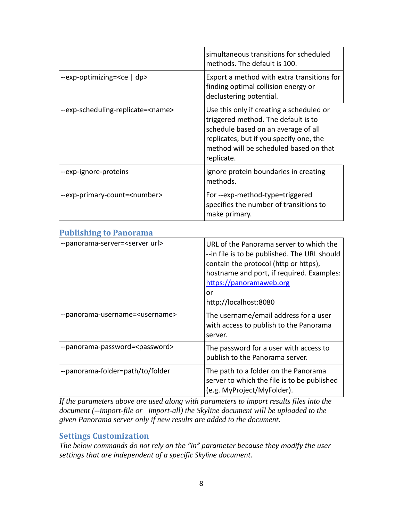|                                           | simultaneous transitions for scheduled<br>methods. The default is 100.                                                                                                                                                    |
|-------------------------------------------|---------------------------------------------------------------------------------------------------------------------------------------------------------------------------------------------------------------------------|
| --exp-optimizing= <ce dp=""  =""></ce>    | Export a method with extra transitions for<br>finding optimal collision energy or<br>declustering potential.                                                                                                              |
| --exp-scheduling-replicate= <name></name> | Use this only if creating a scheduled or<br>triggered method. The default is to<br>schedule based on an average of all<br>replicates, but if you specify one, the<br>method will be scheduled based on that<br>replicate. |
| --exp-ignore-proteins                     | Ignore protein boundaries in creating<br>methods.                                                                                                                                                                         |
| --exp-primary-count= <number></number>    | For --exp-method-type=triggered<br>specifies the number of transitions to<br>make primary.                                                                                                                                |

#### **Publishing to Panorama**

| --panorama-server= <server url=""></server> | URL of the Panorama server to which the<br>-- in file is to be published. The URL should<br>contain the protocol (http or https),<br>hostname and port, if required. Examples:<br>https://panoramaweb.org<br>or<br>http://localhost:8080 |
|---------------------------------------------|------------------------------------------------------------------------------------------------------------------------------------------------------------------------------------------------------------------------------------------|
| --panorama-username= <username></username>  | The username/email address for a user<br>with access to publish to the Panorama<br>server.                                                                                                                                               |
| --panorama-password= <password></password>  | The password for a user with access to<br>publish to the Panorama server.                                                                                                                                                                |
| --panorama-folder=path/to/folder            | The path to a folder on the Panorama<br>server to which the file is to be published<br>(e.g. MyProject/MyFolder).                                                                                                                        |

*If the parameters above are used along with parameters to import results files into the document (--import-file or –import-all) the Skyline document will be uploaded to the given Panorama server only if new results are added to the document.* 

#### **Settings Customization**

*The below commands do not rely on the "in" parameter because they modify the user settings that are independent of a specific Skyline document.*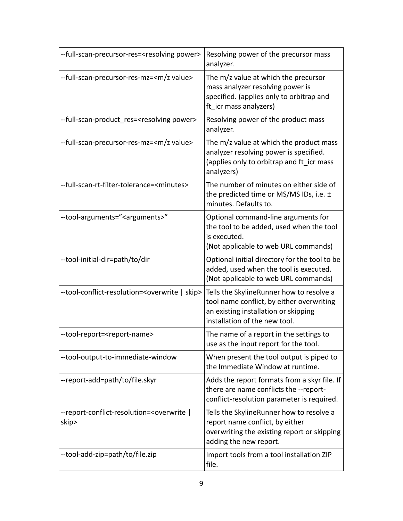| --full-scan-precursor-res= <resolving power=""></resolving>           | Resolving power of the precursor mass<br>analyzer.                                                                                                             |
|-----------------------------------------------------------------------|----------------------------------------------------------------------------------------------------------------------------------------------------------------|
| --full-scan-precursor-res-mz= <m value="" z=""></m>                   | The m/z value at which the precursor<br>mass analyzer resolving power is<br>specified. (applies only to orbitrap and<br>ft icr mass analyzers)                 |
| --full-scan-product res= <resolving power=""></resolving>             | Resolving power of the product mass<br>analyzer.                                                                                                               |
| --full-scan-precursor-res-mz= <m value="" z=""></m>                   | The m/z value at which the product mass<br>analyzer resolving power is specified.<br>(applies only to orbitrap and ft_icr mass<br>analyzers)                   |
| --full-scan-rt-filter-tolerance= <minutes></minutes>                  | The number of minutes on either side of<br>the predicted time or MS/MS IDs, i.e. ±<br>minutes. Defaults to.                                                    |
| --tool-arguments=" <arguments>"</arguments>                           | Optional command-line arguments for<br>the tool to be added, used when the tool<br>is executed.<br>(Not applicable to web URL commands)                        |
| --tool-initial-dir=path/to/dir                                        | Optional initial directory for the tool to be<br>added, used when the tool is executed.<br>(Not applicable to web URL commands)                                |
| --tool-conflict-resolution= <overwrite skip=""  =""></overwrite>      | Tells the SkylineRunner how to resolve a<br>tool name conflict, by either overwriting<br>an existing installation or skipping<br>installation of the new tool. |
| --tool-report= <report-name></report-name>                            | The name of a report in the settings to<br>use as the input report for the tool.                                                                               |
| --tool-output-to-immediate-window                                     | When present the tool output is piped to<br>the Immediate Window at runtime.                                                                                   |
| --report-add=path/to/file.skyr                                        | Adds the report formats from a skyr file. If<br>there are name conflicts the --report-<br>conflict-resolution parameter is required.                           |
| --report-conflict-resolution= <overwrite  <br="">skip&gt;</overwrite> | Tells the SkylineRunner how to resolve a<br>report name conflict, by either<br>overwriting the existing report or skipping<br>adding the new report.           |
| --tool-add-zip=path/to/file.zip                                       | Import tools from a tool installation ZIP<br>file.                                                                                                             |